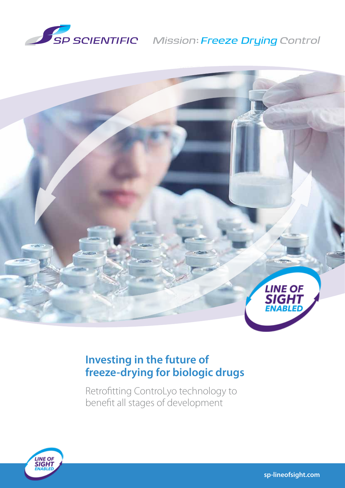

# SP SCIENTIFIC Mission: Freeze Drying Control



# **Investing in the future of freeze‑drying for biologic drugs**

Retrofitting ControLyo technology to benefit all stages of development

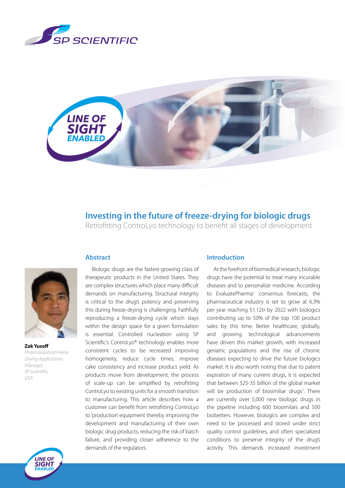



# **Investing in the future of freeze-drying for biologic drugs**

Retrofitting ControLyo technology to benefit all stages of development

**Abstract**

**Zak Yusoff** *Pharmaceutical Freeze Drying Applications Manager, SP Scientific, USA*



Biologic drugs are the fastest-growing class of therapeutic products in the United States. They are complex structures which place many difficult demands on manufacturing. Structural integrity is critical to the drug's potency and preserving this during freeze-drying is challenging. Faithfully reproducing a freeze-drying cycle which stays within the design space for a given formulation is essential. Controlled nucleation using SP Scientific's ControLyo® technology enables more consistent cycles to be recreated improving homogeneity, reduce cycle times, improve cake consistency and increase product yield. As products move from development, the process of scale-up can be simplified by retrofitting ControLyo to existing units for a smooth transition to manufacturing. This article describes how a customer can benefit from retrofitting ControLyo to 'production' equipment thereby improving the development and manufacturing of their own biologic drug products, reducing the risk of batch failure, and providing closer adherence to the demands of the regulators.

### **Introduction**

At the forefront of biomedical research, biologic drugs have the potential to treat many incurable diseases and to personalize medicine. According to EvaluatePharma<sup>1</sup> consensus forecasts, the pharmaceutical industry is set to grow at 6.3% per year reaching \$1.12tr by 2022 with biologics contributing up to 50% of the top 100 product sales by this time. Better healthcare, globally, and growing technological advancements have driven this market growth, with increased geriatric populations and the rise of chronic diseases expecting to drive the future biologics market. It is also worth noting that due to patent expiration of many current drugs, it is expected that between \$25-35 billion of the global market will be production of biosimiliar drugs<sup>2</sup>. There are currently over 5,000 new biologic drugs in the pipeline including 600 biosimilars and 500 biobetters. However, biologics are complex and need to be processed and stored under strict quality control guidelines, and often specialized conditions to preserve integrity of the drug's activity. This demands increased investment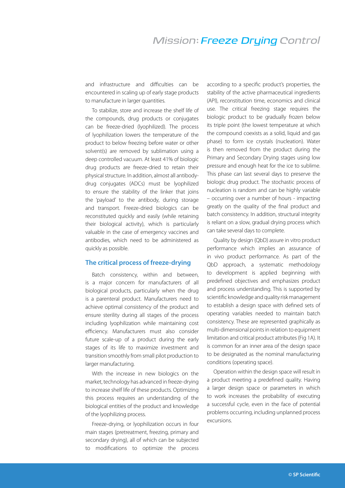## **Mission: Freeze Druing Control**

and infrastructure and difficulties can be encountered in scaling up of early stage products to manufacture in larger quantities.

To stabilize, store and increase the shelf life of the compounds, drug products or conjugates can be freeze-dried (lyophilized). The process of lyophilization lowers the temperature of the product to below freezing before water or other solvent(s) are removed by sublimation using a deep controlled vacuum. At least 41% of biologic drug products are freeze-dried to retain their physical structure. In addition, almost all antibodydrug conjugates (ADCs) must be lyophilized to ensure the stability of the linker that joins the 'payload' to the antibody, during storage and transport. Freeze-dried biologics can be reconstituted quickly and easily (while retaining their biological activity), which is particularly valuable in the case of emergency vaccines and antibodies, which need to be administered as quickly as possible.

#### **The critical process of freeze-drying**

Batch consistency, within and between, is a major concern for manufacturers of all biological products, particularly when the drug is a parenteral product. Manufacturers need to achieve optimal consistency of the product and ensure sterility during all stages of the process including lyophilization while maintaining cost efficiency. Manufacturers must also consider future scale-up of a product during the early stages of its life to maximize investment and transition smoothly from small pilot production to larger manufacturing.

With the increase in new biologics on the market, technology has advanced in freeze-drying to increase shelf life of these products. Optimizing this process requires an understanding of the biological entities of the product and knowledge of the lyophilizing process.

Freeze-drying, or lyophilization occurs in four main stages (pretreatment, freezing, primary and secondary drying), all of which can be subjected to modifications to optimize the process

according to a specific product's properties, the stability of the active pharmaceutical ingredients (API), reconstitution time, economics and clinical use. The critical freezing stage requires the biologic product to be gradually frozen below its triple point (the lowest temperature at which the compound coexists as a solid, liquid and gas phase) to form ice crystals (nucleation). Water is then removed from the product during the Primary and Secondary Drying stages using low pressure and enough heat for the ice to sublime. This phase can last several days to preserve the biologic drug product. The stochastic process of nucleation is random and can be highly variable – occurring over a number of hours - impacting greatly on the quality of the final product and batch consistency. In addition, structural integrity is reliant on a slow, gradual drying process which can take several days to complete.

Quality by design (QbD) assure in vitro product performance which implies an assurance of in vivo product performance. As part of the QbD approach, a systematic methodology to development is applied beginning with predefined objectives and emphasizes product and process understanding. This is supported by scientific knowledge and quality risk management to establish a design space with defined sets of operating variables needed to maintain batch consistency. These are represented graphically as multi-dimensional points in relation to equipment limitation and critical product attributes (Fig 1A). It is common for an inner area of the design space to be designated as the nominal manufacturing conditions (operating space).

Operation within the design space will result in a product meeting a predefined quality. Having a larger design space or parameters in which to work increases the probability of executing a successful cycle, even in the face of potential problems occurring, including unplanned process excursions.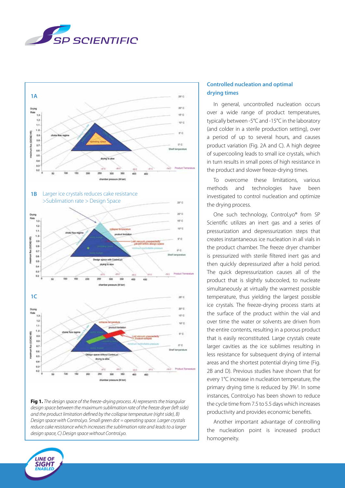



**Fig 1.** *The design space of the freeze-drying process. A) represents the triangular design space between the maximum sublimation rate of the freeze dryer (left side) and the product limitation defined by the collapse temperature (right side), B) Design space with ControLyo. Small green dot = operating space. Larger crystals reduce cake resistance which increases the sublimation rate and leads to a larger design space, C) Design space without ControLyo.* 

# **drying times** In general, uncontrolled nucleation occurs

**Controlled nucleation and optimal** 

over a wide range of product temperatures, typically between -5°C and -15°C in the laboratory (and colder in a sterile production setting), over a period of up to several hours, and causes product variation (Fig. 2A and C). A high degree of supercooling leads to small ice crystals, which in turn results in small pores of high resistance in the product and slower freeze-drying times.

To overcome these limitations, various methods and technologies have been investigated to control nucleation and optimize the drying process.

One such technology, ControLyo® from SP Scientific utilizes an inert gas and a series of pressurization and depressurization steps that creates instantaneous ice nucleation in all vials in the product chamber. The freeze dryer chamber is pressurized with sterile filtered inert gas and then quickly depressurized after a hold period. The quick depressurization causes all of the product that is slightly subcooled, to nucleate simultaneously at virtually the warmest possible temperature, thus yielding the largest possible ice crystals. The freeze-drying process starts at the surface of the product within the vial and over time the water or solvents are driven from the entire contents, resulting in a porous product that is easily reconstituted. Large crystals create larger cavities as the ice sublimes resulting in less resistance for subsequent drying of internal areas and the shortest potential drying time (Fig. 2B and D). Previous studies have shown that for every 1°C increase in nucleation temperature, the primary drying time is reduced by 3%<sup>3</sup>. In some instances, ControLyo has been shown to reduce the cycle time from 7.5 to 5.5 days which increases productivity and provides economic benefits.

Another important advantage of controlling the nucleation point is increased product homogeneity.

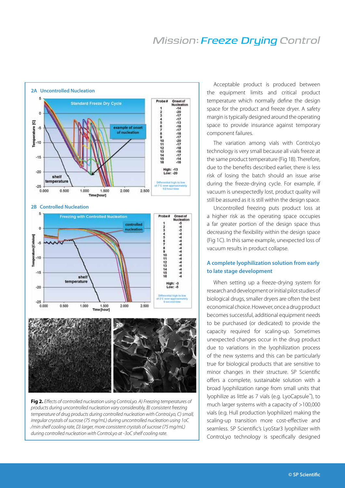# **Mission: Freeze Druing Control**



**Fig 2.** *Effects of controlled nucleation using ControLyo. A) Freezing temperatures of products during uncontrolled nucleation vary considerably, B) consistent freezing temperature of drug products during controlled nucleation with ControLyo, C) small, irregular crystals of sucrose (75 mg/mL) during uncontrolled nucleation using 1oC /min shelf cooling rate, D) larger, more consistent crystals of sucrose (75 mg/mL) during controlled nucleation with ControLyo at -3oC shelf cooling rate.* 

Acceptable product is produced between the equipment limits and critical product temperature which normally define the design space for the product and freeze dryer. A safety margin is typically designed around the operating space to provide insurance against temporary component failures.

The variation among vials with ControLyo technology is very small because all vials freeze at the same product temperature (Fig 1B). Therefore, due to the benefits described earlier, there is less risk of losing the batch should an issue arise during the freeze-drying cycle. For example, if vacuum is unexpectedly lost, product quality will still be assured as it is still within the design space.

Uncontrolled freezing puts product loss at a higher risk as the operating space occupies a far greater portion of the design space thus decreasing the flexibility within the design space (Fig 1C). In this same example, unexpected loss of vacuum results in product collapse.

#### **A complete lyophilization solution from early to late stage development**

When setting up a freeze-drying system for research and development or initial pilot studies of biological drugs, smaller dryers are often the best economical choice. However, once a drug product becomes successful, additional equipment needs to be purchased (or dedicated) to provide the capacity required for scaling-up. Sometimes unexpected changes occur in the drug product due to variations in the lyophilization process of the new systems and this can be particularly true for biological products that are sensitive to minor changes in their structure. SP Scientific offers a complete, sustainable solution with a broad lyophilization range from small units that lyophilize as little as 7 vials (e.g. LyoCapsule™), to much larger systems with a capacity of >100,000 vials (e.g. Hull production lyophilizer) making the scaling-up transition more cost-effective and seamless. SP Scientific's LyoStar3 lyophilizer with ControLyo technology is specifically designed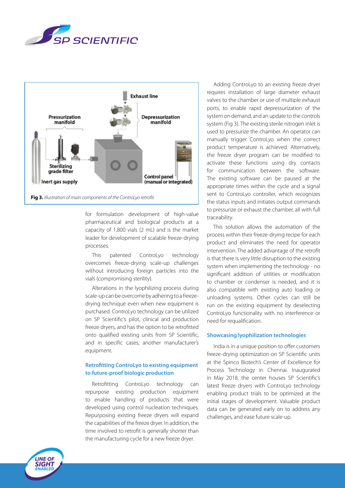



for formulation development of high-value pharmaceutical and biological products at a capacity of 1,800 vials (2 mL) and is the market leader for development of scalable freeze-drying processes.

This patented ControLyo technology overcomes freeze-drying scale-up challenges without introducing foreign particles into the vials (compromising sterility).

Alterations in the lyophilizing process during scale-up can be overcome by adhering to a freezedrying technique even when new equipment is purchased. ControLyo technology can be utilized on SP Scientific's pilot, clinical and production freeze dryers, and has the option to be retrofitted onto qualified existing units from SP Scientific, and in specific cases, another manufacturer's equipment.

#### **Retrofitting ControLyo to existing equipment to future-proof biologic production**

Retrofitting ControLyo technology can repurpose existing production equipment to enable handling of products that were developed using control nucleation techniques. Repurposing existing freeze dryers will expand the capabilities of the freeze dryer. In addition, the time involved to retrofit is generally shorter than the manufacturing cycle for a new freeze dryer.

Adding ControLyo to an existing freeze dryer requires installation of large diameter exhaust valves to the chamber or use of multiple exhaust ports, to enable rapid depressurization of the system on demand, and an update to the controls system (Fig 3). The existing sterile nitrogen inlet is used to pressurize the chamber. An operator can manually trigger ControLyo when the correct product temperature is achieved. Alternatively, the freeze dryer program can be modified to activate these functions using dry contacts for communication between the software. The existing software can be paused at the appropriate times within the cycle and a signal sent to ControLyo controller, which recognizes the status inputs and initiates output commands to pressurize or exhaust the chamber, all with full traceability.

This solution allows the automation of the process within their freeze-drying recipe for each product and eliminates the need for operator intervention. The added advantage of the retrofit is that there is very little disruption to the existing system when implementing the technology - no significant addition of utilities or modification to chamber or condenser is needed, and it is also compatible with existing auto loading or unloading systems. Other cycles can still be run on the existing equipment by deselecting ControLyo functionality with no interference or need for requalification.

#### **Showcasing lyophilization technologies**

India is in a unique position to offer customers freeze-drying optimization on SP Scientific units at the Spinco Biotech's Center of Excellence for Process Technology in Chennai. Inaugurated in May 2018, the center houses SP Scientific's latest freeze dryers with ControLyo technology enabling product trials to be optimized at the initial stages of development. Valuable product data can be generated early on to address any challenges, and ease future scale-up.

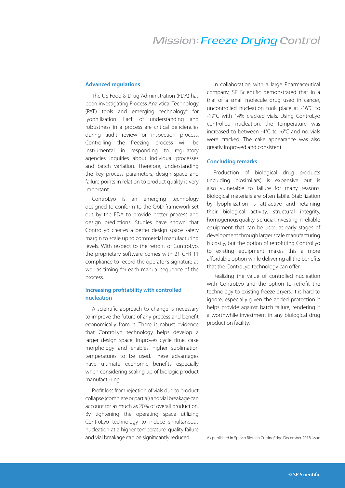# **Mission: Freeze Druing Control**

#### **Advanced regulations**

The US Food & Drug Administration (FDA) has been investigating Process Analytical Technology (PAT) tools and emerging technology4 for lyophilization. Lack of understanding and robustness in a process are critical deficiencies during audit review or inspection process. Controlling the freezing process will be instrumental in responding to regulatory agencies inquiries about individual processes and batch variation. Therefore, understanding the key process parameters, design space and failure points in relation to product quality is very important.

ControLyo is an emerging technology designed to conform to the QbD framework set out by the FDA to provide better process and design predictions. Studies have shown that ControLyo creates a better design space safety margin to scale up to commercial manufacturing levels. With respect to the retrofit of ControLyo, the proprietary software comes with 21 CFR 11 compliance to record the operator's signature as well as timing for each manual sequence of the process.

#### **Increasing profitability with controlled nucleation**

A scientific approach to change is necessary to improve the future of any process and benefit economically from it. There is robust evidence that ControLyo technology helps develop a larger design space, improves cycle time, cake morphology and enables higher sublimation temperatures to be used. These advantages have ultimate economic benefits especially when considering scaling up of biologic product manufacturing.

Profit loss from rejection of vials due to product collapse (complete or partial) and vial breakage can account for as much as 20% of overall production. By tightening the operating space utilizing ControLyo technology to induce simultaneous nucleation at a higher temperature, quality failure and vial breakage can be significantly reduced.

In collaboration with a large Pharmaceutical company, SP Scientific demonstrated that in a trial of a small molecule drug used in cancer, uncontrolled nucleation took place at -16°C to -19°C with 14% cracked vials. Using ControLyo controlled nucleation, the temperature was increased to between -4°C to -6°C and no vials were cracked. The cake appearance was also greatly improved and consistent.

#### **Concluding remarks**

Production of biological drug products (including biosimilars) is expensive but is also vulnerable to failure for many reasons. Biological materials are often labile. Stabilization by lyophilization is attractive and retaining their biological activity, structural integrity, homogenous quality is crucial. Investing in reliable equipment that can be used at early stages of development through larger scale manufacturing is costly, but the option of retrofitting ControLyo to existing equipment makes this a more affordable option while delivering all the benefits that the ControLyo technology can offer.

Realizing the value of controlled nucleation with ControLyo and the option to retrofit the technology to existing freeze dryers, it is hard to ignore, especially given the added protection it helps provide against batch failure, rendering it a worthwhile investment in any biological drug production facility.

As published in Spinco Biotech CuttingEdge December 2018 issue